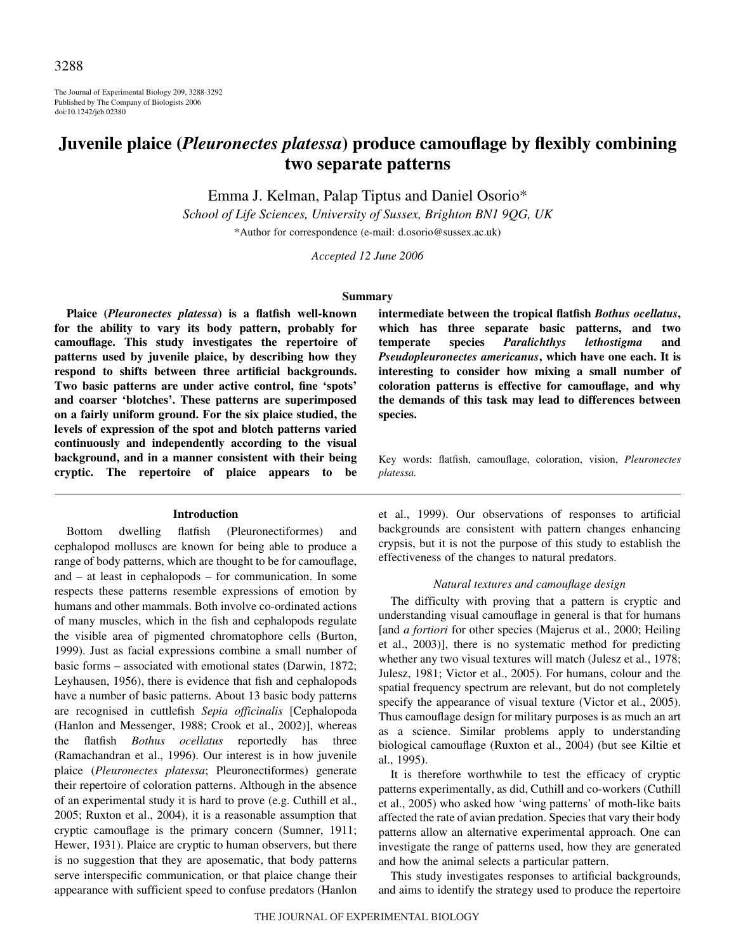The Journal of Experimental Biology 209, 3288-3292 Published by The Company of Biologists 2006 doi:10.1242/jeb.02380

# **Juvenile plaice (***Pleuronectes platessa***) produce camouflage by flexibly combining two separate patterns**

Emma J. Kelman, Palap Tiptus and Daniel Osorio\*

*School of Life Sciences, University of Sussex, Brighton BN1 9QG, UK* \*Author for correspondence (e-mail: d.osorio@sussex.ac.uk)

*Accepted 12 June 2006*

#### **Summary**

**Plaice (***Pleuronectes platessa***) is a flatfish well-known for the ability to vary its body pattern, probably for camouflage. This study investigates the repertoire of patterns used by juvenile plaice, by describing how they respond to shifts between three artificial backgrounds. Two basic patterns are under active control, fine 'spots' and coarser 'blotches'. These patterns are superimposed on a fairly uniform ground. For the six plaice studied, the levels of expression of the spot and blotch patterns varied continuously and independently according to the visual background, and in a manner consistent with their being cryptic. The repertoire of plaice appears to be**

#### **Introduction**

Bottom dwelling flatfish (Pleuronectiformes) and cephalopod molluscs are known for being able to produce a range of body patterns, which are thought to be for camouflage, and – at least in cephalopods – for communication. In some respects these patterns resemble expressions of emotion by humans and other mammals. Both involve co-ordinated actions of many muscles, which in the fish and cephalopods regulate the visible area of pigmented chromatophore cells (Burton, 1999). Just as facial expressions combine a small number of basic forms – associated with emotional states (Darwin, 1872; Leyhausen, 1956), there is evidence that fish and cephalopods have a number of basic patterns. About 13 basic body patterns are recognised in cuttlefish *Sepia officinalis* [Cephalopoda (Hanlon and Messenger, 1988; Crook et al., 2002)], whereas the flatfish *Bothus ocellatus* reportedly has three (Ramachandran et al., 1996). Our interest is in how juvenile plaice (*Pleuronectes platessa*; Pleuronectiformes) generate their repertoire of coloration patterns. Although in the absence of an experimental study it is hard to prove (e.g. Cuthill et al., 2005; Ruxton et al., 2004), it is a reasonable assumption that cryptic camouflage is the primary concern (Sumner, 1911; Hewer, 1931). Plaice are cryptic to human observers, but there is no suggestion that they are aposematic, that body patterns serve interspecific communication, or that plaice change their appearance with sufficient speed to confuse predators (Hanlon **intermediate between the tropical flatfish** *Bothus ocellatus***, which has three separate basic patterns, and two temperate species** *Paralichthys lethostigma* **and** *Pseudopleuronectes americanus***, which have one each. It is interesting to consider how mixing a small number of coloration patterns is effective for camouflage, and why the demands of this task may lead to differences between species.**

Key words: flatfish, camouflage, coloration, vision, *Pleuronectes platessa.*

et al., 1999). Our observations of responses to artificial backgrounds are consistent with pattern changes enhancing crypsis, but it is not the purpose of this study to establish the effectiveness of the changes to natural predators.

# *Natural textures and camouflage design*

The difficulty with proving that a pattern is cryptic and understanding visual camouflage in general is that for humans [and *a fortiori* for other species (Majerus et al., 2000; Heiling et al., 2003)], there is no systematic method for predicting whether any two visual textures will match (Julesz et al., 1978; Julesz, 1981; Victor et al., 2005). For humans, colour and the spatial frequency spectrum are relevant, but do not completely specify the appearance of visual texture (Victor et al., 2005). Thus camouflage design for military purposes is as much an art as a science. Similar problems apply to understanding biological camouflage (Ruxton et al., 2004) (but see Kiltie et al., 1995).

It is therefore worthwhile to test the efficacy of cryptic patterns experimentally, as did, Cuthill and co-workers (Cuthill et al., 2005) who asked how 'wing patterns' of moth-like baits affected the rate of avian predation. Species that vary their body patterns allow an alternative experimental approach. One can investigate the range of patterns used, how they are generated and how the animal selects a particular pattern.

This study investigates responses to artificial backgrounds, and aims to identify the strategy used to produce the repertoire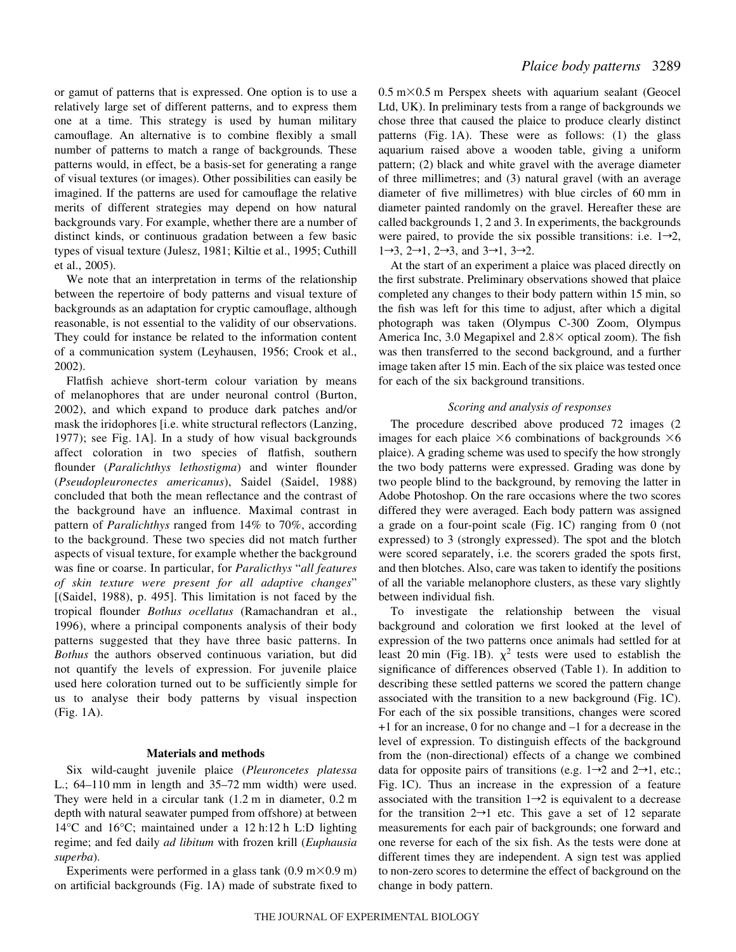or gamut of patterns that is expressed. One option is to use a relatively large set of different patterns, and to express them one at a time. This strategy is used by human military camouflage. An alternative is to combine flexibly a small number of patterns to match a range of backgrounds*.* These patterns would, in effect, be a basis-set for generating a range of visual textures (or images). Other possibilities can easily be imagined. If the patterns are used for camouflage the relative merits of different strategies may depend on how natural backgrounds vary. For example, whether there are a number of distinct kinds, or continuous gradation between a few basic types of visual texture (Julesz, 1981; Kiltie et al., 1995; Cuthill et al., 2005).

We note that an interpretation in terms of the relationship between the repertoire of body patterns and visual texture of backgrounds as an adaptation for cryptic camouflage, although reasonable, is not essential to the validity of our observations. They could for instance be related to the information content of a communication system (Leyhausen, 1956; Crook et al., 2002).

Flatfish achieve short-term colour variation by means of melanophores that are under neuronal control (Burton, 2002), and which expand to produce dark patches and/or mask the iridophores [i.e. white structural reflectors (Lanzing, 1977); see Fig. 1A]. In a study of how visual backgrounds affect coloration in two species of flatfish, southern flounder (*Paralichthys lethostigma*) and winter flounder (*Pseudopleuronectes americanus*), Saidel (Saidel, 1988) concluded that both the mean reflectance and the contrast of the background have an influence. Maximal contrast in pattern of *Paralichthys* ranged from 14% to 70%, according to the background. These two species did not match further aspects of visual texture, for example whether the background was fine or coarse. In particular, for *Paralicthys* "*all features of skin texture were present for all adaptive changes*" [(Saidel, 1988), p. 495]. This limitation is not faced by the tropical flounder *Bothus ocellatus* (Ramachandran et al., 1996), where a principal components analysis of their body patterns suggested that they have three basic patterns. In *Bothus* the authors observed continuous variation, but did not quantify the levels of expression. For juvenile plaice used here coloration turned out to be sufficiently simple for us to analyse their body patterns by visual inspection  $(Fig. 1A)$ .

## **Materials and methods**

Six wild-caught juvenile plaice (*Pleuroncetes platessa* L.;  $64-110$  mm in length and  $35-72$  mm width) were used. They were held in a circular tank  $(1.2 \text{ m})$  in diameter,  $0.2 \text{ m}$ depth with natural seawater pumped from offshore) at between  $14^{\circ}$ C and  $16^{\circ}$ C; maintained under a 12 h:12 h L:D lighting regime; and fed daily *ad libitum* with frozen krill (*Euphausia superba*).

Experiments were performed in a glass tank  $(0.9 \text{ m} \times 0.9 \text{ m})$ on artificial backgrounds (Fig. 1A) made of substrate fixed to

 $0.5~\text{m} \times 0.5~\text{m}$  Perspex sheets with aquarium sealant (Geocel Ltd, UK). In preliminary tests from a range of backgrounds we chose three that caused the plaice to produce clearly distinct patterns (Fig. 1A). These were as follows: (1) the glass aquarium raised above a wooden table, giving a uniform pattern; (2) black and white gravel with the average diameter of three millimetres; and (3) natural gravel (with an average diameter of five millimetres) with blue circles of 60 mm in diameter painted randomly on the gravel. Hereafter these are called backgrounds 1, 2 and 3. In experiments, the backgrounds were paired, to provide the six possible transitions: i.e.  $1\rightarrow 2$ ,  $1\rightarrow 3$ ,  $2\rightarrow 1$ ,  $2\rightarrow 3$ , and  $3\rightarrow 1$ ,  $3\rightarrow 2$ .

At the start of an experiment a plaice was placed directly on the first substrate. Preliminary observations showed that plaice completed any changes to their body pattern within 15 min, so the fish was left for this time to adjust, after which a digital photograph was taken (Olympus C-300 Zoom, Olympus America Inc, 3.0 Megapixel and  $2.8 \times$  optical zoom). The fish was then transferred to the second background, and a further image taken after 15 min. Each of the six plaice was tested once for each of the six background transitions.

## *Scoring and analysis of responses*

The procedure described above produced 72 images (2 images for each plaice  $\times$ 6 combinations of backgrounds  $\times$ 6 plaice). A grading scheme was used to specify the how strongly the two body patterns were expressed. Grading was done by two people blind to the background, by removing the latter in Adobe Photoshop. On the rare occasions where the two scores differed they were averaged. Each body pattern was assigned a grade on a four-point scale (Fig. 1C) ranging from  $0$  (not expressed) to 3 (strongly expressed). The spot and the blotch were scored separately, i.e. the scorers graded the spots first, and then blotches. Also, care was taken to identify the positions of all the variable melanophore clusters, as these vary slightly between individual fish.

To investigate the relationship between the visual background and coloration we first looked at the level of expression of the two patterns once animals had settled for at least 20 min (Fig. 1B).  $\chi^2$  tests were used to establish the significance of differences observed (Table 1). In addition to describing these settled patterns we scored the pattern change associated with the transition to a new background (Fig. 1C). For each of the six possible transitions, changes were scored +1 for an increase, 0 for no change and –1 for a decrease in the level of expression. To distinguish effects of the background from the (non-directional) effects of a change we combined data for opposite pairs of transitions (e.g.  $1\rightarrow 2$  and  $2\rightarrow 1$ , etc.; Fig. 1C). Thus an increase in the expression of a feature associated with the transition  $1\rightarrow 2$  is equivalent to a decrease for the transition  $2\rightarrow 1$  etc. This gave a set of 12 separate measurements for each pair of backgrounds; one forward and one reverse for each of the six fish. As the tests were done at different times they are independent. A sign test was applied to non-zero scores to determine the effect of background on the change in body pattern.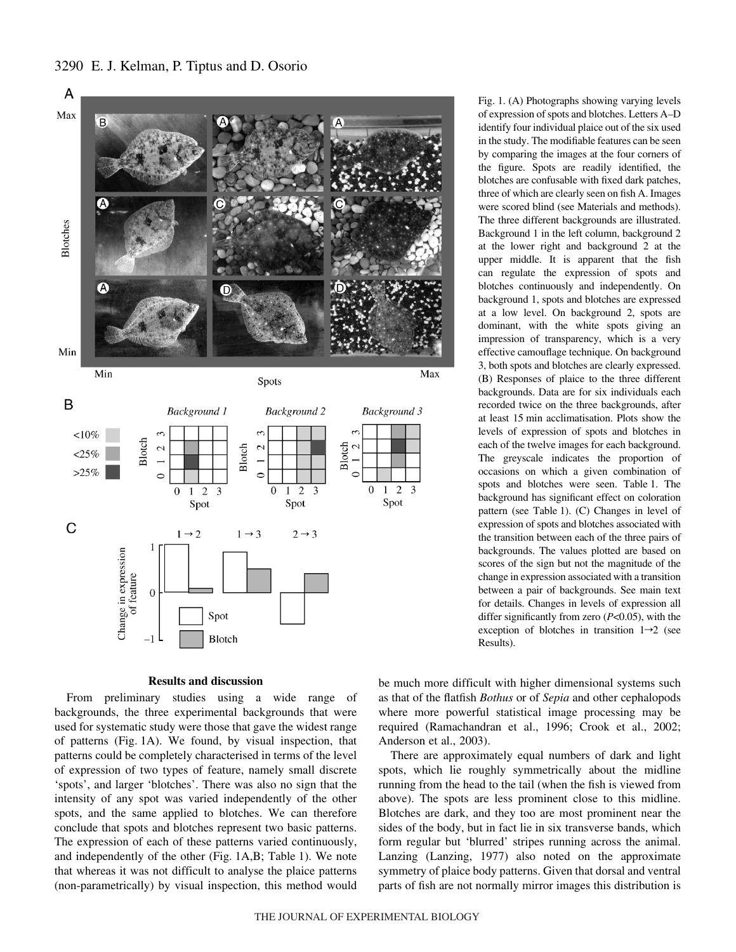



### **Results and discussion**

From preliminary studies using a wide range of backgrounds, the three experimental backgrounds that were used for systematic study were those that gave the widest range of patterns (Fig. 1A). We found, by visual inspection, that patterns could be completely characterised in terms of the level of expression of two types of feature, namely small discrete 'spots', and larger 'blotches'. There was also no sign that the intensity of any spot was varied independently of the other spots, and the same applied to blotches. We can therefore conclude that spots and blotches represent two basic patterns. The expression of each of these patterns varied continuously, and independently of the other (Fig. 1A, B; Table 1). We note that whereas it was not difficult to analyse the plaice patterns (non-parametrically) by visual inspection, this method would

Fig. 1. (A) Photographs showing varying levels of expression of spots and blotches. Letters A–D identify four individual plaice out of the six used in the study. The modifiable features can be seen by comparing the images at the four corners of the figure. Spots are readily identified, the blotches are confusable with fixed dark patches, three of which are clearly seen on fish A. Images were scored blind (see Materials and methods). The three different backgrounds are illustrated. Background 1 in the left column, background 2 at the lower right and background 2 at the upper middle. It is apparent that the fish can regulate the expression of spots and blotches continuously and independently. On background 1, spots and blotches are expressed at a low level. On background 2, spots are dominant, with the white spots giving an impression of transparency, which is a very effective camouflage technique. On background 3, both spots and blotches are clearly expressed. (B) Responses of plaice to the three different backgrounds. Data are for six individuals each recorded twice on the three backgrounds, after at least 15 min acclimatisation. Plots show the levels of expression of spots and blotches in each of the twelve images for each background. The greyscale indicates the proportion of occasions on which a given combination of spots and blotches were seen. Table 1. The background has significant effect on coloration pattern (see Table 1). (C) Changes in level of expression of spots and blotches associated with the transition between each of the three pairs of backgrounds. The values plotted are based on scores of the sign but not the magnitude of the change in expression associated with a transition between a pair of backgrounds. See main text for details. Changes in levels of expression all differ significantly from zero (*P*<0.05), with the exception of blotches in transition  $1\rightarrow 2$  (see Results).

be much more difficult with higher dimensional systems such as that of the flatfish *Bothus* or of *Sepia* and other cephalopods where more powerful statistical image processing may be required (Ramachandran et al., 1996; Crook et al., 2002; Anderson et al., 2003).

There are approximately equal numbers of dark and light spots, which lie roughly symmetrically about the midline running from the head to the tail (when the fish is viewed from above). The spots are less prominent close to this midline. Blotches are dark, and they too are most prominent near the sides of the body, but in fact lie in six transverse bands, which form regular but 'blurred' stripes running across the animal. Lanzing (Lanzing, 1977) also noted on the approximate symmetry of plaice body patterns. Given that dorsal and ventral parts of fish are not normally mirror images this distribution is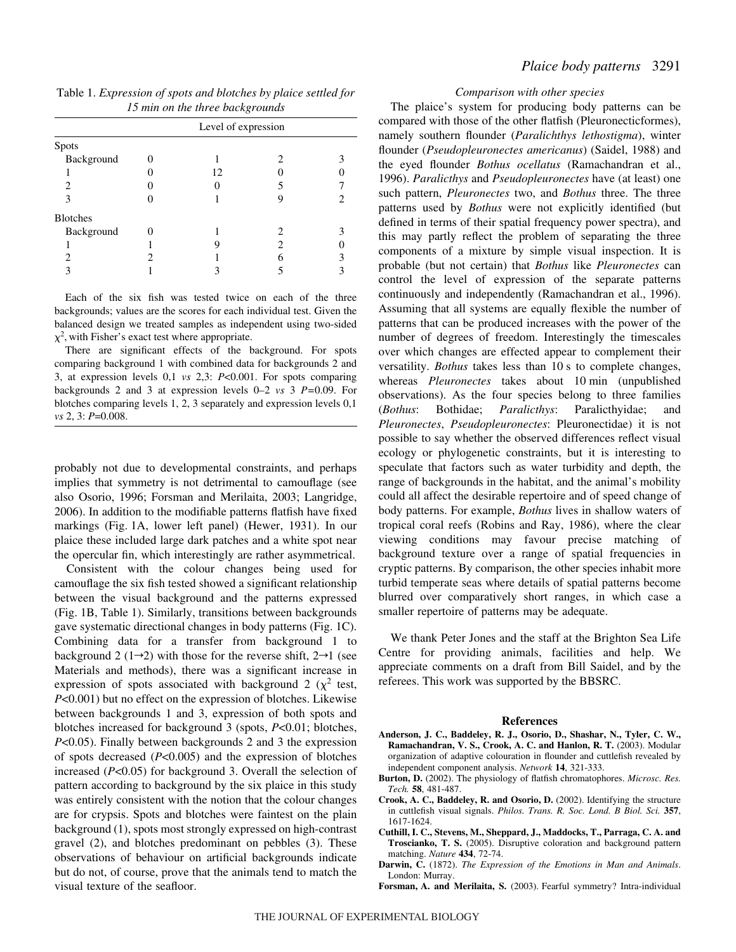| Table 1. Expression of spots and blotches by plaice settled for |  |  |
|-----------------------------------------------------------------|--|--|
| 15 min on the three backgrounds                                 |  |  |

|                 | ັ                   |    |  |  |  |
|-----------------|---------------------|----|--|--|--|
|                 | Level of expression |    |  |  |  |
| <b>Spots</b>    |                     |    |  |  |  |
| Background      |                     |    |  |  |  |
|                 |                     | 12 |  |  |  |
|                 |                     |    |  |  |  |
|                 |                     |    |  |  |  |
| <b>Blotches</b> |                     |    |  |  |  |
| Background      |                     |    |  |  |  |
|                 |                     |    |  |  |  |
|                 |                     |    |  |  |  |
|                 |                     |    |  |  |  |
|                 |                     |    |  |  |  |

Each of the six fish was tested twice on each of the three backgrounds; values are the scores for each individual test. Given the balanced design we treated samples as independent using two-sided  $\chi^2$ , with Fisher's exact test where appropriate.

There are significant effects of the background. For spots comparing background 1 with combined data for backgrounds 2 and 3, at expression levels 0,1 *vs* 2,3: *P*<0.001. For spots comparing backgrounds 2 and 3 at expression levels 0–2 *vs* 3 *P=*0.09. For blotches comparing levels 1, 2, 3 separately and expression levels 0,1 *vs* 2, 3: *P*=0.008.

probably not due to developmental constraints, and perhaps implies that symmetry is not detrimental to camouflage (see also Osorio, 1996; Forsman and Merilaita, 2003; Langridge, 2006). In addition to the modifiable patterns flatfish have fixed markings (Fig. 1A, lower left panel) (Hewer, 1931). In our plaice these included large dark patches and a white spot near the opercular fin, which interestingly are rather asymmetrical.

Consistent with the colour changes being used for camouflage the six fish tested showed a significant relationship between the visual background and the patterns expressed (Fig. 1B, Table 1). Similarly, transitions between backgrounds gave systematic directional changes in body patterns (Fig. 1C). Combining data for a transfer from background 1 to background 2 (1–2) with those for the reverse shift,  $2\rightarrow1$  (see Materials and methods), there was a significant increase in expression of spots associated with background 2 ( $\chi^2$  test, *P*<0.001) but no effect on the expression of blotches. Likewise between backgrounds 1 and 3, expression of both spots and blotches increased for background 3 (spots, *P*<0.01; blotches, *P*<0.05). Finally between backgrounds 2 and 3 the expression of spots decreased (*P*<0.005) and the expression of blotches increased (*P*<0.05) for background 3. Overall the selection of pattern according to background by the six plaice in this study was entirely consistent with the notion that the colour changes are for crypsis. Spots and blotches were faintest on the plain background (1), spots most strongly expressed on high-contrast gravel (2), and blotches predominant on pebbles (3). These observations of behaviour on artificial backgrounds indicate but do not, of course, prove that the animals tend to match the visual texture of the seafloor.

#### *Comparison with other species*

The plaice's system for producing body patterns can be compared with those of the other flatfish (Pleuronecticformes), namely southern flounder (*Paralichthys lethostigma*), winter flounder (*Pseudopleuronectes americanus*) (Saidel, 1988) and the eyed flounder *Bothus ocellatus* (Ramachandran et al., 1996). *Paralicthys* and *Pseudopleuronectes* have (at least) one such pattern, *Pleuronectes* two, and *Bothus* three. The three patterns used by *Bothus* were not explicitly identified (but defined in terms of their spatial frequency power spectra), and this may partly reflect the problem of separating the three components of a mixture by simple visual inspection. It is probable (but not certain) that *Bothus* like *Pleuronectes* can control the level of expression of the separate patterns continuously and independently (Ramachandran et al., 1996). Assuming that all systems are equally flexible the number of patterns that can be produced increases with the power of the number of degrees of freedom. Interestingly the timescales over which changes are effected appear to complement their versatility. *Bothus* takes less than 10 s to complete changes, whereas *Pleuronectes* takes about 10 min (unpublished observations). As the four species belong to three families (*Bothus*: Bothidae; *Paralicthys*: Paralicthyidae; and *Pleuronectes*, *Pseudopleuronectes*: Pleuronectidae) it is not possible to say whether the observed differences reflect visual ecology or phylogenetic constraints, but it is interesting to speculate that factors such as water turbidity and depth, the range of backgrounds in the habitat, and the animal's mobility could all affect the desirable repertoire and of speed change of body patterns. For example, *Bothus* lives in shallow waters of tropical coral reefs (Robins and Ray, 1986), where the clear viewing conditions may favour precise matching of background texture over a range of spatial frequencies in cryptic patterns. By comparison, the other species inhabit more turbid temperate seas where details of spatial patterns become blurred over comparatively short ranges, in which case a smaller repertoire of patterns may be adequate.

We thank Peter Jones and the staff at the Brighton Sea Life Centre for providing animals, facilities and help. We appreciate comments on a draft from Bill Saidel, and by the referees. This work was supported by the BBSRC.

#### **References**

- **Anderson, J. C., Baddeley, R. J., Osorio, D., Shashar, N., Tyler, C. W., Ramachandran, V. S., Crook, A. C. and Hanlon, R. T.** (2003). Modular organization of adaptive colouration in flounder and cuttlefish revealed by independent component analysis. *Network* **14**, 321-333.
- **Burton, D.** (2002). The physiology of flatfish chromatophores. *Microsc. Res. Tech.* **58**, 481-487.
- **Crook, A. C., Baddeley, R. and Osorio, D.** (2002). Identifying the structure in cuttlefish visual signals. *Philos. Trans. R. Soc. Lond. B Biol. Sci.* **357**, 1617-1624.
- **Cuthill, I. C., Stevens, M., Sheppard, J., Maddocks, T., Parraga, C. A. and Troscianko, T. S.** (2005). Disruptive coloration and background pattern matching. *Nature* **434**, 72-74.
- **Darwin, C.** (1872). *The Expression of the Emotions in Man and Animals*. London: Murray.
- **Forsman, A. and Merilaita, S.** (2003). Fearful symmetry? Intra-individual